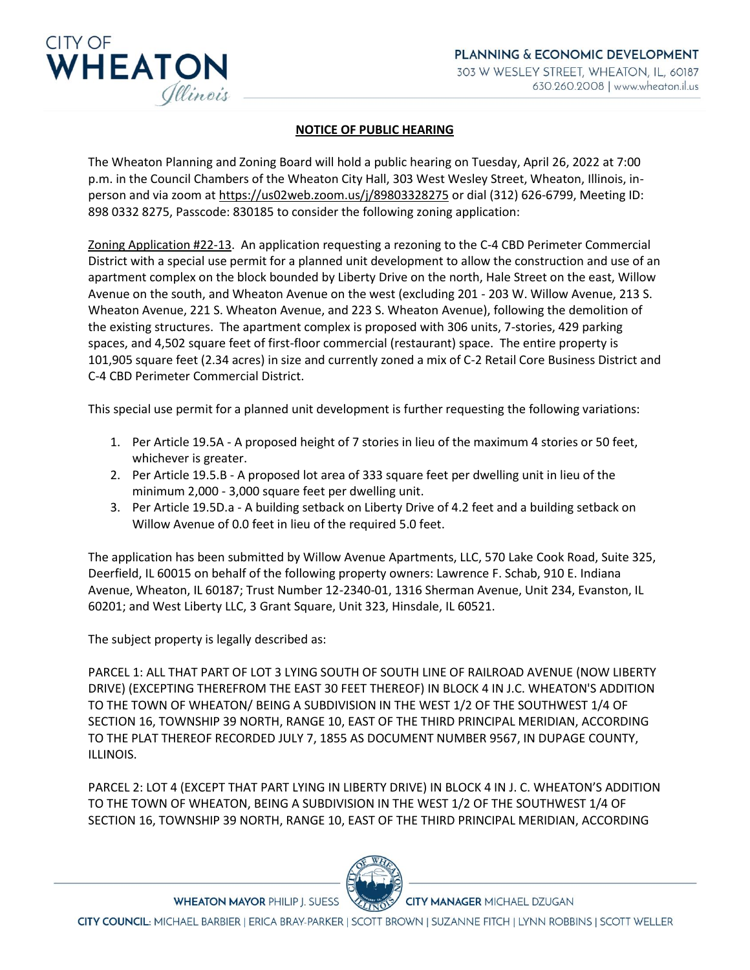

## **NOTICE OF PUBLIC HEARING**

The Wheaton Planning and Zoning Board will hold a public hearing on Tuesday, April 26, 2022 at 7:00 p.m. in the Council Chambers of the Wheaton City Hall, 303 West Wesley Street, Wheaton, Illinois, inperson and via zoom a[t https://us02web.zoom.us/j/89803328275](https://gcc02.safelinks.protection.outlook.com/?url=https%3A%2F%2Fus02web.zoom.us%2Fj%2F89803328275&data=04%7C01%7CTJones%40wheaton.il.us%7C001bb2aef04b47d19dd708da132c3572%7C7409600a5a354350817a26ff18a4fd75%7C0%7C0%7C637843377864734865%7CUnknown%7CTWFpbGZsb3d8eyJWIjoiMC4wLjAwMDAiLCJQIjoiV2luMzIiLCJBTiI6Ik1haWwiLCJXVCI6Mn0%3D%7C3000&sdata=c2P7YREXwvIRECdV517mO0PMZSQXQXkRgmfPXQFDjyc%3D&reserved=0) or dial (312) 626-6799, Meeting ID: 898 0332 8275, Passcode: 830185 to consider the following zoning application:

Zoning Application #22-13. An application requesting a rezoning to the C-4 CBD Perimeter Commercial District with a special use permit for a planned unit development to allow the construction and use of an apartment complex on the block bounded by Liberty Drive on the north, Hale Street on the east, Willow Avenue on the south, and Wheaton Avenue on the west (excluding 201 - 203 W. Willow Avenue, 213 S. Wheaton Avenue, 221 S. Wheaton Avenue, and 223 S. Wheaton Avenue), following the demolition of the existing structures. The apartment complex is proposed with 306 units, 7-stories, 429 parking spaces, and 4,502 square feet of first-floor commercial (restaurant) space. The entire property is 101,905 square feet (2.34 acres) in size and currently zoned a mix of C-2 Retail Core Business District and C-4 CBD Perimeter Commercial District.

This special use permit for a planned unit development is further requesting the following variations:

- 1. Per Article 19.5A A proposed height of 7 stories in lieu of the maximum 4 stories or 50 feet, whichever is greater.
- 2. Per Article 19.5.B A proposed lot area of 333 square feet per dwelling unit in lieu of the minimum 2,000 - 3,000 square feet per dwelling unit.
- 3. Per Article 19.5D.a A building setback on Liberty Drive of 4.2 feet and a building setback on Willow Avenue of 0.0 feet in lieu of the required 5.0 feet.

The application has been submitted by Willow Avenue Apartments, LLC, 570 Lake Cook Road, Suite 325, Deerfield, IL 60015 on behalf of the following property owners: Lawrence F. Schab, 910 E. Indiana Avenue, Wheaton, IL 60187; Trust Number 12-2340-01, 1316 Sherman Avenue, Unit 234, Evanston, IL 60201; and West Liberty LLC, 3 Grant Square, Unit 323, Hinsdale, IL 60521.

The subject property is legally described as:

PARCEL 1: ALL THAT PART OF LOT 3 LYING SOUTH OF SOUTH LINE OF RAILROAD AVENUE (NOW LIBERTY DRIVE) (EXCEPTING THEREFROM THE EAST 30 FEET THEREOF) IN BLOCK 4 IN J.C. WHEATON'S ADDITION TO THE TOWN OF WHEATON/ BEING A SUBDIVISION IN THE WEST 1/2 OF THE SOUTHWEST 1/4 OF SECTION 16, TOWNSHIP 39 NORTH, RANGE 10, EAST OF THE THIRD PRINCIPAL MERIDIAN, ACCORDING TO THE PLAT THEREOF RECORDED JULY 7, 1855 AS DOCUMENT NUMBER 9567, IN DUPAGE COUNTY, ILLINOIS.

PARCEL 2: LOT 4 (EXCEPT THAT PART LYING IN LIBERTY DRIVE) IN BLOCK 4 IN J. C. WHEATON'S ADDITION TO THE TOWN OF WHEATON, BEING A SUBDIVISION IN THE WEST 1/2 OF THE SOUTHWEST 1/4 OF SECTION 16, TOWNSHIP 39 NORTH, RANGE 10, EAST OF THE THIRD PRINCIPAL MERIDIAN, ACCORDING



**WHEATON MAYOR PHILIP J. SUESS** 

CITY COUNCIL: MICHAEL BARBIER | ERICA BRAY-PARKER | SCOTT BROWN | SUZANNE FITCH | LYNN ROBBINS | SCOTT WELLER

**CITY MANAGER MICHAEL DZUGAN**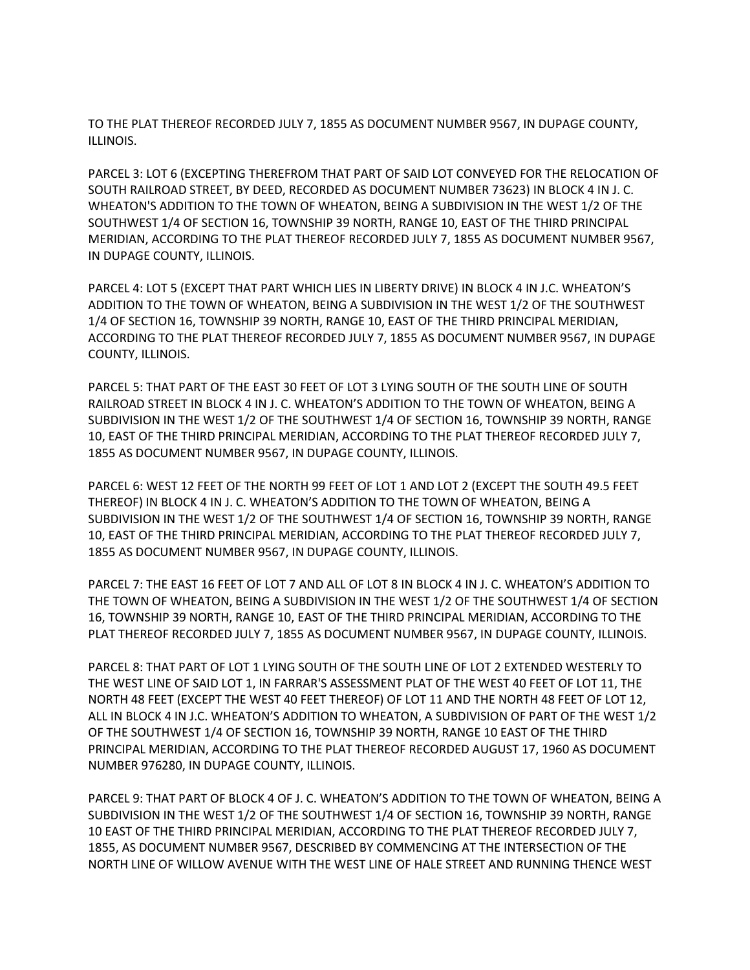TO THE PLAT THEREOF RECORDED JULY 7, 1855 AS DOCUMENT NUMBER 9567, IN DUPAGE COUNTY, ILLINOIS.

PARCEL 3: LOT 6 (EXCEPTING THEREFROM THAT PART OF SAID LOT CONVEYED FOR THE RELOCATION OF SOUTH RAILROAD STREET, BY DEED, RECORDED AS DOCUMENT NUMBER 73623) IN BLOCK 4 IN J. C. WHEATON'S ADDITION TO THE TOWN OF WHEATON, BEING A SUBDIVISION IN THE WEST 1/2 OF THE SOUTHWEST 1/4 OF SECTION 16, TOWNSHIP 39 NORTH, RANGE 10, EAST OF THE THIRD PRINCIPAL MERIDIAN, ACCORDING TO THE PLAT THEREOF RECORDED JULY 7, 1855 AS DOCUMENT NUMBER 9567, IN DUPAGE COUNTY, ILLINOIS.

PARCEL 4: LOT 5 (EXCEPT THAT PART WHICH LIES IN LIBERTY DRIVE) IN BLOCK 4 IN J.C. WHEATON'S ADDITION TO THE TOWN OF WHEATON, BEING A SUBDIVISION IN THE WEST 1/2 OF THE SOUTHWEST 1/4 OF SECTION 16, TOWNSHIP 39 NORTH, RANGE 10, EAST OF THE THIRD PRINCIPAL MERIDIAN, ACCORDING TO THE PLAT THEREOF RECORDED JULY 7, 1855 AS DOCUMENT NUMBER 9567, IN DUPAGE COUNTY, ILLINOIS.

PARCEL 5: THAT PART OF THE EAST 30 FEET OF LOT 3 LYING SOUTH OF THE SOUTH LINE OF SOUTH RAILROAD STREET IN BLOCK 4 IN J. C. WHEATON'S ADDITION TO THE TOWN OF WHEATON, BEING A SUBDIVISION IN THE WEST 1/2 OF THE SOUTHWEST 1/4 OF SECTION 16, TOWNSHIP 39 NORTH, RANGE 10, EAST OF THE THIRD PRINCIPAL MERIDIAN, ACCORDING TO THE PLAT THEREOF RECORDED JULY 7, 1855 AS DOCUMENT NUMBER 9567, IN DUPAGE COUNTY, ILLINOIS.

PARCEL 6: WEST 12 FEET OF THE NORTH 99 FEET OF LOT 1 AND LOT 2 (EXCEPT THE SOUTH 49.5 FEET THEREOF) IN BLOCK 4 IN J. C. WHEATON'S ADDITION TO THE TOWN OF WHEATON, BEING A SUBDIVISION IN THE WEST 1/2 OF THE SOUTHWEST 1/4 OF SECTION 16, TOWNSHIP 39 NORTH, RANGE 10, EAST OF THE THIRD PRINCIPAL MERIDIAN, ACCORDING TO THE PLAT THEREOF RECORDED JULY 7, 1855 AS DOCUMENT NUMBER 9567, IN DUPAGE COUNTY, ILLINOIS.

PARCEL 7: THE EAST 16 FEET OF LOT 7 AND ALL OF LOT 8 IN BLOCK 4 IN J. C. WHEATON'S ADDITION TO THE TOWN OF WHEATON, BEING A SUBDIVISION IN THE WEST 1/2 OF THE SOUTHWEST 1/4 OF SECTION 16, TOWNSHIP 39 NORTH, RANGE 10, EAST OF THE THIRD PRINCIPAL MERIDIAN, ACCORDING TO THE PLAT THEREOF RECORDED JULY 7, 1855 AS DOCUMENT NUMBER 9567, IN DUPAGE COUNTY, ILLINOIS.

PARCEL 8: THAT PART OF LOT 1 LYING SOUTH OF THE SOUTH LINE OF LOT 2 EXTENDED WESTERLY TO THE WEST LINE OF SAID LOT 1, IN FARRAR'S ASSESSMENT PLAT OF THE WEST 40 FEET OF LOT 11, THE NORTH 48 FEET (EXCEPT THE WEST 40 FEET THEREOF) OF LOT 11 AND THE NORTH 48 FEET OF LOT 12, ALL IN BLOCK 4 IN J.C. WHEATON'S ADDITION TO WHEATON, A SUBDIVISION OF PART OF THE WEST 1/2 OF THE SOUTHWEST 1/4 OF SECTION 16, TOWNSHIP 39 NORTH, RANGE 10 EAST OF THE THIRD PRINCIPAL MERIDIAN, ACCORDING TO THE PLAT THEREOF RECORDED AUGUST 17, 1960 AS DOCUMENT NUMBER 976280, IN DUPAGE COUNTY, ILLINOIS.

PARCEL 9: THAT PART OF BLOCK 4 OF J. C. WHEATON'S ADDITION TO THE TOWN OF WHEATON, BEING A SUBDIVISION IN THE WEST 1/2 OF THE SOUTHWEST 1/4 OF SECTION 16, TOWNSHIP 39 NORTH, RANGE 10 EAST OF THE THIRD PRINCIPAL MERIDIAN, ACCORDING TO THE PLAT THEREOF RECORDED JULY 7, 1855, AS DOCUMENT NUMBER 9567, DESCRIBED BY COMMENCING AT THE INTERSECTION OF THE NORTH LINE OF WILLOW AVENUE WITH THE WEST LINE OF HALE STREET AND RUNNING THENCE WEST